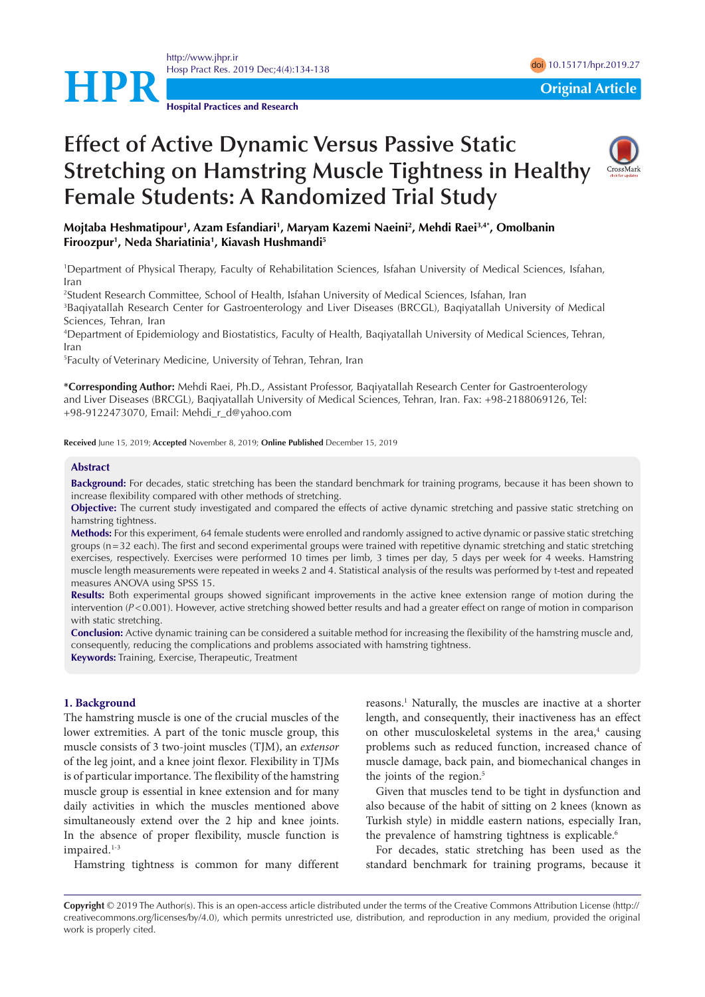<http://www.jhpr.ir> Hosp Pract Res. 2019 Dec;4(4):134-138 doi [10.15171/hpr.2019.27](https://doi.org/10.15171/hpr.2019.27)



**Hospital Practices and Research**

# **Effect of Active Dynamic Versus Passive Static Stretching on Hamstring Muscle Tightness in Healthy Female Students: A Randomized Trial Study**



Mojtaba Heshmatipour<sup>1</sup>, Azam Esfandiari', Maryam Kazemi Naeini<sup>2</sup>, Mehdi Raei<sup>3,4</sup>\*, Omolbanin **Firoozpur1 , Neda Shariatinia1 , Kiavash Hushmandi5**

1 Department of Physical Therapy, Faculty of Rehabilitation Sciences, Isfahan University of Medical Sciences, Isfahan, Iran

2 Student Research Committee, School of Health, Isfahan University of Medical Sciences, Isfahan, Iran

3 Baqiyatallah Research Center for Gastroenterology and Liver Diseases (BRCGL), Baqiyatallah University of Medical Sciences, Tehran, Iran

4 Department of Epidemiology and Biostatistics, Faculty of Health, Baqiyatallah University of Medical Sciences, Tehran, Iran

5 Faculty of Veterinary Medicine, University of Tehran, Tehran, Iran

**\*Corresponding Author:** Mehdi Raei, Ph.D., Assistant Professor, Baqiyatallah Research Center for Gastroenterology and Liver Diseases (BRCGL), Baqiyatallah University of Medical Sciences, Tehran, Iran. Fax: +98-2188069126, Tel: +98-9122473070, Email: Mehdi\_r\_d@yahoo.com

**Received** June 15, 2019; **Accepted** November 8, 2019; **Online Published** December 15, 2019

#### **Abstract**

**Background:** For decades, static stretching has been the standard benchmark for training programs, because it has been shown to increase flexibility compared with other methods of stretching.

**Objective:** The current study investigated and compared the effects of active dynamic stretching and passive static stretching on hamstring tightness.

**Methods:** For this experiment, 64 female students were enrolled and randomly assigned to active dynamic or passive static stretching groups (n=32 each). The first and second experimental groups were trained with repetitive dynamic stretching and static stretching exercises, respectively. Exercises were performed 10 times per limb, 3 times per day, 5 days per week for 4 weeks. Hamstring muscle length measurements were repeated in weeks 2 and 4. Statistical analysis of the results was performed by t-test and repeated measures ANOVA using SPSS 15.

**Results:** Both experimental groups showed significant improvements in the active knee extension range of motion during the intervention ( $P < 0.001$ ). However, active stretching showed better results and had a greater effect on range of motion in comparison with static stretching.

**Conclusion:** Active dynamic training can be considered a suitable method for increasing the flexibility of the hamstring muscle and, consequently, reducing the complications and problems associated with hamstring tightness. **Keywords:** Training, Exercise, Therapeutic, Treatment

#### **1. Background**

The hamstring muscle is one of the crucial muscles of the lower extremities. A part of the tonic muscle group, this muscle consists of 3 two-joint muscles (TJM), an *extensor* of the leg joint, and a knee joint flexor. Flexibility in TJMs is of particular importance. The flexibility of the hamstring muscle group is essential in knee extension and for many daily activities in which the muscles mentioned above simultaneously extend over the 2 hip and knee joints. In the absence of proper flexibility, muscle function is impaired.1-3

Hamstring tightness is common for many different

reasons.1 Naturally, the muscles are inactive at a shorter length, and consequently, their inactiveness has an effect on other musculoskeletal systems in the area,<sup>4</sup> causing problems such as reduced function, increased chance of muscle damage, back pain, and biomechanical changes in the joints of the region.<sup>5</sup>

Given that muscles tend to be tight in dysfunction and also because of the habit of sitting on 2 knees (known as Turkish style) in middle eastern nations, especially Iran, the prevalence of hamstring tightness is explicable.<sup>6</sup>

For decades, static stretching has been used as the standard benchmark for training programs, because it

**Copyright** © 2019 The Author(s). This is an open-access article distributed under the terms of the Creative Commons Attribution License (http:// creativecommons.org/licenses/by/4.0), which permits unrestricted use, distribution, and reproduction in any medium, provided the original work is properly cited.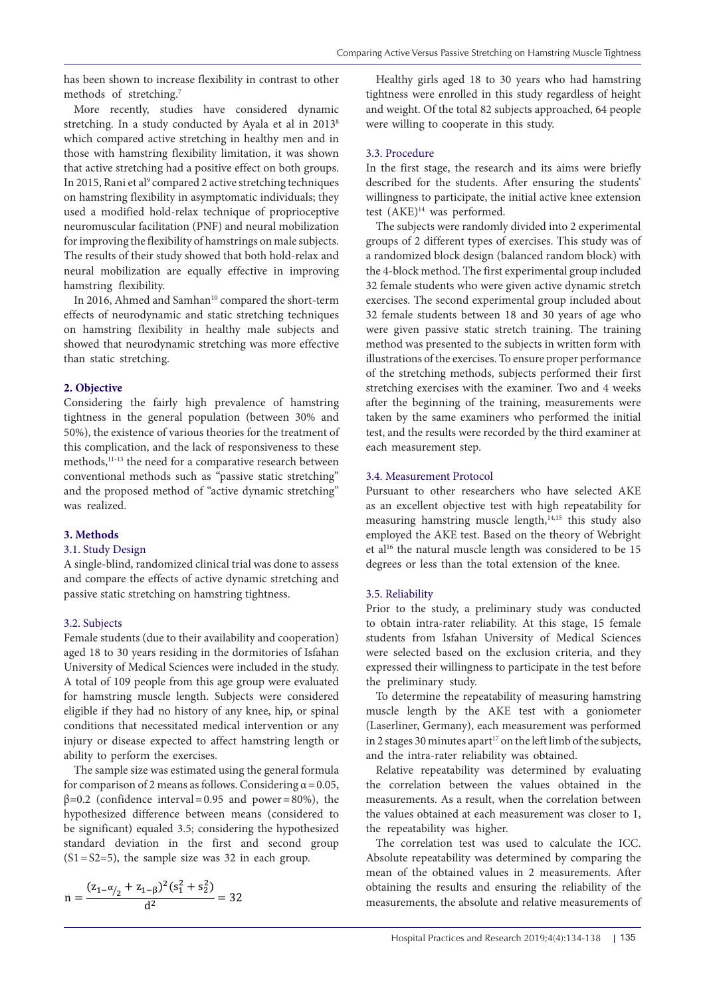has been shown to increase flexibility in contrast to other methods of stretching.7

More recently, studies have considered dynamic stretching. In a study conducted by Ayala et al in 20138 which compared active stretching in healthy men and in those with hamstring flexibility limitation, it was shown that active stretching had a positive effect on both groups. In 2015, Rani et al<sup>9</sup> compared 2 active stretching techniques on hamstring flexibility in asymptomatic individuals; they used a modified hold-relax technique of proprioceptive neuromuscular facilitation (PNF) and neural mobilization for improving the flexibility of hamstrings on male subjects. The results of their study showed that both hold-relax and neural mobilization are equally effective in improving hamstring flexibility.

In 2016, Ahmed and Samhan<sup>10</sup> compared the short-term effects of neurodynamic and static stretching techniques on hamstring flexibility in healthy male subjects and showed that neurodynamic stretching was more effective than static stretching.

#### **2. Objective**

Considering the fairly high prevalence of hamstring tightness in the general population (between 30% and 50%), the existence of various theories for the treatment of this complication, and the lack of responsiveness to these methods,11-13 the need for a comparative research between conventional methods such as "passive static stretching" and the proposed method of "active dynamic stretching" was realized.

#### **3. Methods**

# 3.1. Study Design

A single-blind, randomized clinical trial was done to assess and compare the effects of active dynamic stretching and passive static stretching on hamstring tightness.

#### 3.2. Subjects

Female students (due to their availability and cooperation) aged 18 to 30 years residing in the dormitories of Isfahan University of Medical Sciences were included in the study. A total of 109 people from this age group were evaluated for hamstring muscle length. Subjects were considered eligible if they had no history of any knee, hip, or spinal conditions that necessitated medical intervention or any injury or disease expected to affect hamstring length or ability to perform the exercises.

The sample size was estimated using the general formula for comparison of 2 means as follows. Considering  $\alpha$  = 0.05,  $β=0.2$  (confidence interval = 0.95 and power = 80%), the hypothesized difference between means (considered to be significant) equaled 3.5; considering the hypothesized standard deviation in the first and second group  $(S1 = S2=5)$ , the sample size was 32 in each group.

$$
n = \frac{(z_{1} - \alpha_{/2} + z_{1} - \beta)^{2}(s_{1}^{2} + s_{2}^{2})}{d^{2}} = 32
$$

Healthy girls aged 18 to 30 years who had hamstring tightness were enrolled in this study regardless of height and weight. Of the total 82 subjects approached, 64 people were willing to cooperate in this study.

# 3.3. Procedure

In the first stage, the research and its aims were briefly described for the students. After ensuring the students' willingness to participate, the initial active knee extension test  $(AKE)^{14}$  was performed.

The subjects were randomly divided into 2 experimental groups of 2 different types of exercises. This study was of a randomized block design (balanced random block) with the 4-block method. The first experimental group included 32 female students who were given active dynamic stretch exercises. The second experimental group included about 32 female students between 18 and 30 years of age who were given passive static stretch training. The training method was presented to the subjects in written form with illustrations of the exercises. To ensure proper performance of the stretching methods, subjects performed their first stretching exercises with the examiner. Two and 4 weeks after the beginning of the training, measurements were taken by the same examiners who performed the initial test, and the results were recorded by the third examiner at each measurement step.

# 3.4. Measurement Protocol

Pursuant to other researchers who have selected AKE as an excellent objective test with high repeatability for measuring hamstring muscle length,<sup>14,15</sup> this study also employed the AKE test. Based on the theory of Webright et al<sup>16</sup> the natural muscle length was considered to be 15 degrees or less than the total extension of the knee.

#### 3.5. Reliability

Prior to the study, a preliminary study was conducted to obtain intra-rater reliability. At this stage, 15 female students from Isfahan University of Medical Sciences were selected based on the exclusion criteria, and they expressed their willingness to participate in the test before the preliminary study.

To determine the repeatability of measuring hamstring muscle length by the AKE test with a goniometer (Laserliner, Germany), each measurement was performed in 2 stages 30 minutes apart<sup>17</sup> on the left limb of the subjects, and the intra-rater reliability was obtained.

Relative repeatability was determined by evaluating the correlation between the values obtained in the measurements. As a result, when the correlation between the values obtained at each measurement was closer to 1, the repeatability was higher.

The correlation test was used to calculate the ICC. Absolute repeatability was determined by comparing the mean of the obtained values in 2 measurements. After obtaining the results and ensuring the reliability of the measurements, the absolute and relative measurements of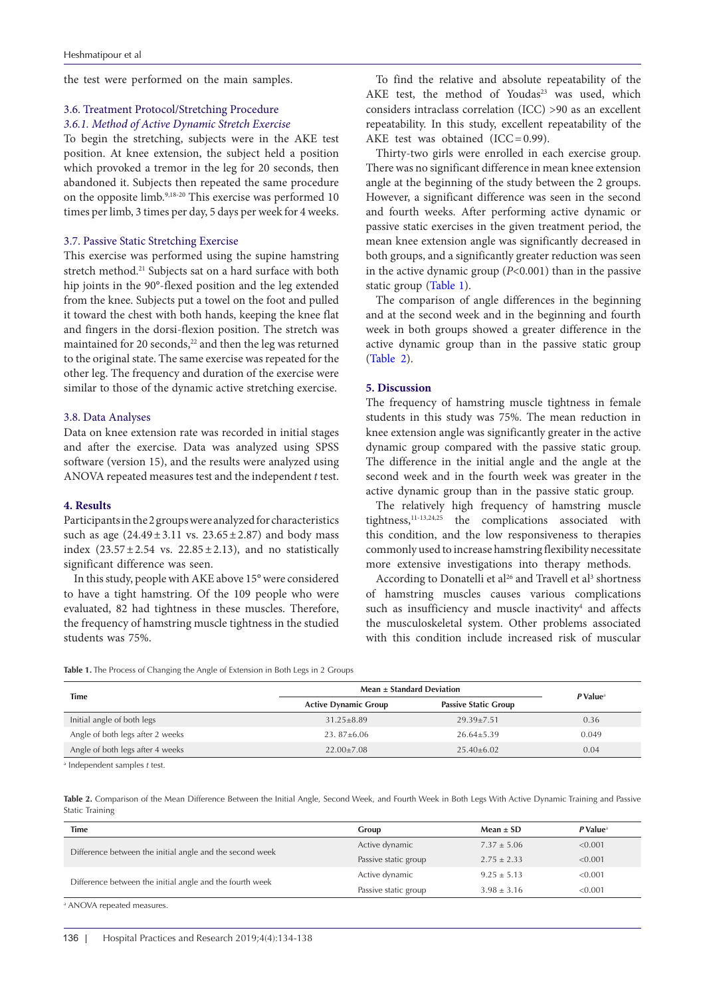the test were performed on the main samples.

# 3.6. Treatment Protocol/Stretching Procedure *3.6.1. Method of Active Dynamic Stretch Exercise*

To begin the stretching, subjects were in the AKE test position. At knee extension, the subject held a position which provoked a tremor in the leg for 20 seconds, then abandoned it. Subjects then repeated the same procedure on the opposite limb.9,18-20 This exercise was performed 10 times per limb, 3 times per day, 5 days per week for 4 weeks.

#### 3.7. Passive Static Stretching Exercise

This exercise was performed using the supine hamstring stretch method.21 Subjects sat on a hard surface with both hip joints in the 90°-flexed position and the leg extended from the knee. Subjects put a towel on the foot and pulled it toward the chest with both hands, keeping the knee flat and fingers in the dorsi-flexion position. The stretch was maintained for 20 seconds,<sup>22</sup> and then the leg was returned to the original state. The same exercise was repeated for the other leg. The frequency and duration of the exercise were similar to those of the dynamic active stretching exercise.

### 3.8. Data Analyses

Data on knee extension rate was recorded in initial stages and after the exercise. Data was analyzed using SPSS software (version 15), and the results were analyzed using ANOVA repeated measures test and the independent *t* test.

#### **4. Results**

Participants in the 2 groups were analyzed for characteristics such as age  $(24.49 \pm 3.11 \text{ vs. } 23.65 \pm 2.87)$  and body mass index  $(23.57 \pm 2.54 \text{ vs. } 22.85 \pm 2.13)$ , and no statistically significant difference was seen.

In this study, people with AKE above 15° were considered to have a tight hamstring. Of the 109 people who were evaluated, 82 had tightness in these muscles. Therefore, the frequency of hamstring muscle tightness in the studied students was 75%.

To find the relative and absolute repeatability of the AKE test, the method of Youdas<sup>23</sup> was used, which considers intraclass correlation (ICC) >90 as an excellent repeatability. In this study, excellent repeatability of the AKE test was obtained  $(ICC=0.99)$ .

Thirty-two girls were enrolled in each exercise group. There was no significant difference in mean knee extension angle at the beginning of the study between the 2 groups. However, a significant difference was seen in the second and fourth weeks. After performing active dynamic or passive static exercises in the given treatment period, the mean knee extension angle was significantly decreased in both groups, and a significantly greater reduction was seen in the active dynamic group (*P*<0.001) than in the passive static group [\(Table 1](#page-2-0)).

The comparison of angle differences in the beginning and at the second week and in the beginning and fourth week in both groups showed a greater difference in the active dynamic group than in the passive static group [\(Table 2](#page-2-1)).

#### **5. Discussion**

The frequency of hamstring muscle tightness in female students in this study was 75%. The mean reduction in knee extension angle was significantly greater in the active dynamic group compared with the passive static group. The difference in the initial angle and the angle at the second week and in the fourth week was greater in the active dynamic group than in the passive static group.

The relatively high frequency of hamstring muscle tightness,11-13,24,25 the complications associated with this condition, and the low responsiveness to therapies commonly used to increase hamstring flexibility necessitate more extensive investigations into therapy methods.

According to Donatelli et al<sup>26</sup> and Travell et al<sup>3</sup> shortness of hamstring muscles causes various complications such as insufficiency and muscle inactivity<sup>4</sup> and affects the musculoskeletal system. Other problems associated with this condition include increased risk of muscular

<span id="page-2-0"></span>**Table 1.** The Process of Changing the Angle of Extension in Both Legs in 2 Groups

| Time                             | Mean $\pm$ Standard Deviation |                             | $P$ Value <sup>a</sup> |
|----------------------------------|-------------------------------|-----------------------------|------------------------|
|                                  | <b>Active Dynamic Group</b>   | <b>Passive Static Group</b> |                        |
| Initial angle of both legs       | $31.25 \pm 8.89$              | $29.39 + 7.51$              | 0.36                   |
| Angle of both legs after 2 weeks | $23.87 + 6.06$                | $26.64 + 5.39$              | 0.049                  |
| Angle of both legs after 4 weeks | $22.00+7.08$                  | $25.40 + 6.02$              | 0.04                   |

a Independent samples *t* test.

<span id="page-2-1"></span>Table 2. Comparison of the Mean Difference Between the Initial Angle, Second Week, and Fourth Week in Both Legs With Active Dynamic Training and Passive Static Training

| Time                                                     | Group                | $Mean \pm SD$   | $P$ Value <sup>a</sup> |
|----------------------------------------------------------|----------------------|-----------------|------------------------|
|                                                          | Active dynamic       | $7.37 \pm 5.06$ | < 0.001                |
| Difference between the initial angle and the second week | Passive static group | $2.75 \pm 2.33$ | < 0.001                |
|                                                          | Active dynamic       | $9.25 \pm 5.13$ | < 0.001                |
| Difference between the initial angle and the fourth week | Passive static group | $3.98 \pm 3.16$ | < 0.001                |
| <sup>a</sup> ANOVA repeated measures.                    |                      |                 |                        |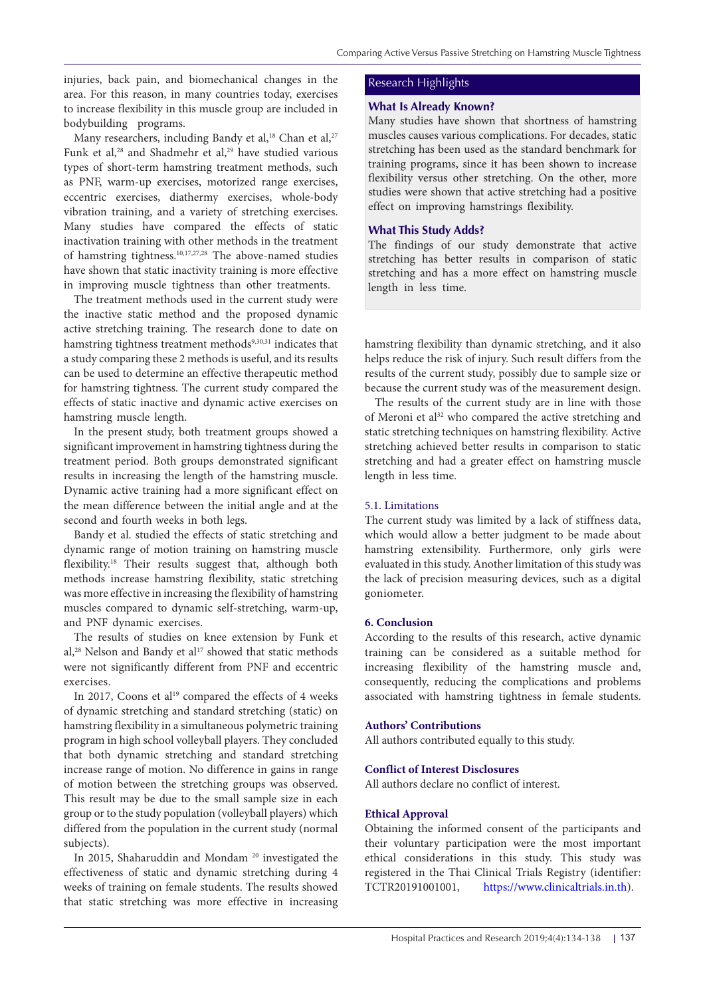injuries, back pain, and biomechanical changes in the Research Highlights area. For this reason, in many countries today, exercises to increase flexibility in this muscle group are included in bodybuilding programs.

Many researchers, including Bandy et al,<sup>18</sup> Chan et al,<sup>27</sup> Funk et al,<sup>28</sup> and Shadmehr et al,<sup>29</sup> have studied various types of short-term hamstring treatment methods, such as PNF, warm-up exercises, motorized range exercises, eccentric exercises, diathermy exercises, whole-body vibration training, and a variety of stretching exercises. Many studies have compared the effects of static inactivation training with other methods in the treatment of hamstring tightness.10,17,27,28 The above-named studies have shown that static inactivity training is more effective in improving muscle tightness than other treatments.

The treatment methods used in the current study were the inactive static method and the proposed dynamic active stretching training. The research done to date on hamstring tightness treatment methods<sup>9,30,31</sup> indicates that a study comparing these 2 methods is useful, and its results can be used to determine an effective therapeutic method for hamstring tightness. The current study compared the effects of static inactive and dynamic active exercises on hamstring muscle length.

In the present study, both treatment groups showed a significant improvement in hamstring tightness during the treatment period. Both groups demonstrated significant results in increasing the length of the hamstring muscle. Dynamic active training had a more significant effect on the mean difference between the initial angle and at the second and fourth weeks in both legs.

Bandy et al. studied the effects of static stretching and dynamic range of motion training on hamstring muscle flexibility.18 Their results suggest that, although both methods increase hamstring flexibility, static stretching was more effective in increasing the flexibility of hamstring muscles compared to dynamic self-stretching, warm-up, and PNF dynamic exercises.

The results of studies on knee extension by Funk et al,<sup>28</sup> Nelson and Bandy et al<sup>17</sup> showed that static methods were not significantly different from PNF and eccentric exercises.

In 2017, Coons et al<sup>19</sup> compared the effects of 4 weeks of dynamic stretching and standard stretching (static) on hamstring flexibility in a simultaneous polymetric training program in high school volleyball players. They concluded that both dynamic stretching and standard stretching increase range of motion. No difference in gains in range of motion between the stretching groups was observed. This result may be due to the small sample size in each group or to the study population (volleyball players) which differed from the population in the current study (normal subjects).

In 2015, Shaharuddin and Mondam 20 investigated the effectiveness of static and dynamic stretching during 4 weeks of training on female students. The results showed that static stretching was more effective in increasing

# **What Is Already Known?**

Many studies have shown that shortness of hamstring muscles causes various complications. For decades, static stretching has been used as the standard benchmark for training programs, since it has been shown to increase flexibility versus other stretching. On the other, more studies were shown that active stretching had a positive effect on improving hamstrings flexibility.

# **What This Study Adds?**

The findings of our study demonstrate that active stretching has better results in comparison of static stretching and has a more effect on hamstring muscle length in less time.

hamstring flexibility than dynamic stretching, and it also helps reduce the risk of injury. Such result differs from the results of the current study, possibly due to sample size or because the current study was of the measurement design.

The results of the current study are in line with those of Meroni et al<sup>32</sup> who compared the active stretching and static stretching techniques on hamstring flexibility. Active stretching achieved better results in comparison to static stretching and had a greater effect on hamstring muscle length in less time.

# 5.1. Limitations

The current study was limited by a lack of stiffness data, which would allow a better judgment to be made about hamstring extensibility. Furthermore, only girls were evaluated in this study. Another limitation of this study was the lack of precision measuring devices, such as a digital goniometer.

# **6. Conclusion**

According to the results of this research, active dynamic training can be considered as a suitable method for increasing flexibility of the hamstring muscle and, consequently, reducing the complications and problems associated with hamstring tightness in female students.

### **Authors' Contributions**

All authors contributed equally to this study.

# **Conflict of Interest Disclosures**

All authors declare no conflict of interest.

# **Ethical Approval**

Obtaining the informed consent of the participants and their voluntary participation were the most important ethical considerations in this study. This study was registered in the Thai Clinical Trials Registry (identifier: TCTR20191001001, [https://www.clinicaltrials.in.th\)](https://www.clinicaltrials.in.th).